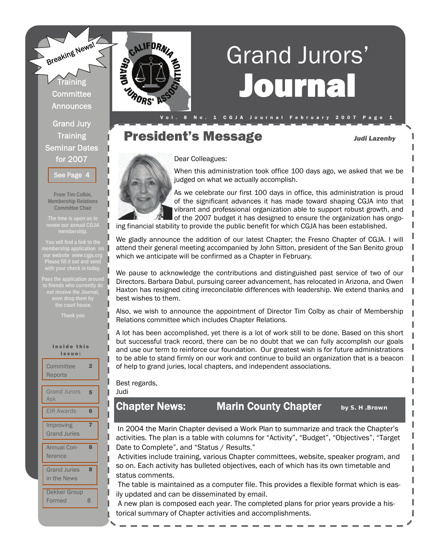

# Journal Grand Jurors'

President's Message *Judi Lazenby* 

# Dear Colleagues:



ORS'

When this administration took office 100 days ago, we asked that we be judged on what we actually accomplish.

V o l . 8 N o . 1 C G J A J o ur n a l F e b r u a r y 2007 P a g e 1

As we celebrate our first 100 days in office, this administration is proud of the significant advances it has made toward shaping CGJA into that vibrant and professional organization able to support robust growth, and of the 2007 budget it has designed to ensure the organization has ongo-

ing financial stability to provide the public benefit for which CGJA has been established.

We gladly announce the addition of our latest Chapter; the Fresno Chapter of CGJA. I will attend their general meeting accompanied by John Sitton, president of the San Benito group which we anticipate will be confirmed as a Chapter in February.

We pause to acknowledge the contributions and distinguished past service of two of our Directors. Barbara Dabul, pursuing career advancement, has relocated in Arizona, and Owen Haxton has resigned citing irreconcilable differences with leadership. We extend thanks and best wishes to them.

Also, we wish to announce the appointment of Director Tim Colby as chair of Membership Relations committee which includes Chapter Relations.

A lot has been accomplished, yet there is a lot of work still to be done. Based on this short but successful track record, there can be no doubt that we can fully accomplish our goals and use our term to reinforce our foundation. Our greatest wish is for future administrations to be able to stand firmly on our work and continue to build an organization that is a beacon of help to grand juries, local chapters, and independent associations.

#### Best regards, Judi

# Chapter News: Marin County Chapter *by S. H .Brown*

In 2004 the Marin Chapter devised a Work Plan to summarize and track the Chapter's activities. The plan is a table with columns for "Activity", "Budget", "Objectives", "Target Date to Complete", and "Status / Results."

 Activities include training, various Chapter committees, website, speaker program, and so on. Each activity has bulleted objectives, each of which has its own timetable and status comments.

 The table is maintained as a computer file. This provides a flexible format which is easily updated and can be disseminated by email.

 A new plan is composed each year. The completed plans for prior years provide a historical summary of Chapter activities and accomplishments.

**Training** Committee **Announces** 

Grand Jury Training Seminar Dates for 2007

[See Page 4](#page-3-0) 

**From Tim Colbie, Membership Relations Committee Chair** 

**The time is upon us to** 

**Please fill it out and send** 

| Inside this<br>issue:              |                         |
|------------------------------------|-------------------------|
| Committee<br>Reports               | $\overline{\mathbf{2}}$ |
| <b>Grand Jurors</b><br>Ask         | 5                       |
| <b>EIR Awards</b>                  | 6                       |
| Improving<br><b>Grand Juries</b>   | 7                       |
| <b>Annual Con-</b><br>ference      | 8                       |
| <b>Grand Juries</b><br>in the News | 8                       |
| Dekker Group<br>Formed             | 8                       |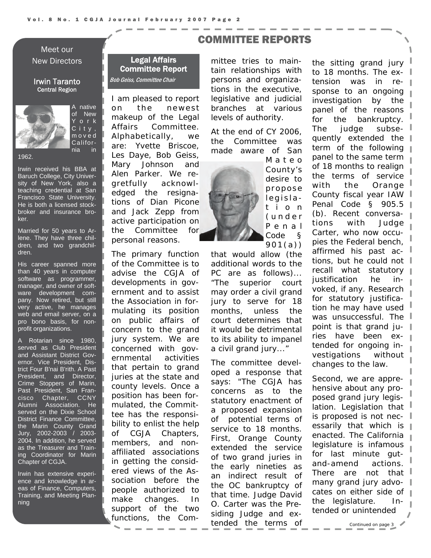### <span id="page-1-0"></span>Meet our New Directors

#### Irwin Taranto Central Region



A native of New Y o r k C i t y , m o v e d California in

1962.

Irwin received his BBA at Baruch College, City University of New York, also a teaching credential at San Francisco State University. He is both a licensed stockbroker and insurance broker.

Married for 50 years to Arlene. They have three children, and two grandchildren.

His career spanned more than 40 years in computer software as programmer, manager, and owner of software development company. Now retired, but still very active, he manages web and email server, on a pro bono basis, for nonprofit organizations.

A Rotarian since 1980, served as Club President and Assistant District Governor. Vice President, District Four B'nai B'rith. A Past President, and Director, Crime Stoppers of Marin, Past President, San Francisco Chapter, CCNY Alumni Association. He served on the Dixie School District Finance Committee, the Marin County Grand Jury, 2002-2003 / 2003- 2004. In addition, he served as the Treasurer and Training Coordinator for Marin Chapter of CGJA.

Irwin has extensive experience and knowledge in areas of Finance, Computers, Training, and Meeting Planning

#### Legal Affairs Committee Report Bob Geiss, Committee Chair

I am pleased to report on the newest makeup of the Legal Affairs Committee. Alphabetically, we are: Yvette Briscoe, Les Daye, Bob Geiss, Mary Johnson and Alen Parker. We regretfully acknowledged the resignations of Dian Picone and Jack Zepp from active participation on the Committee for personal reasons.

The primary function of the Committee is to advise the CGJA of developments in government and to assist the Association in formulating its position on public affairs of concern to the grand jury system. We are concerned with governmental activities that pertain to grand juries at the state and county levels. Once a position has been formulated, the Committee has the responsibility to enlist the help of CGJA Chapters, members, and nonaffiliated associations in getting the considered views of the Association before the people authorized to make changes. In support of the two functions, the Com-

# COMMITTEE REPORTS

mittee tries to maintain relationships with persons and organizations in the executive, legislative and judicial branches at various levels of authority.

At the end of CY 2006, the Committee was made aware of San



M a t e o County's desire to propose legislat i o n ( u n d e r P e n a l Code §  $901(a)$ 

that would allow (the additional words to the PC are as follows)... "The superior court may order a civil grand jury to serve for 18 months, unless the court determines that it would be detrimental to its ability to impanel a civil grand jury..."

The committee developed a response that says: "The CGJA has concerns as to the statutory enactment of a proposed expansion of potential terms of service to 18 months. First, Orange County extended the service of two grand juries in the early nineties as an indirect result of the OC bankruptcy of that time. Judge David O. Carter was the Presiding Judge and extended the terms of

the sitting grand jury  $\mathbb I$ to 18 months. The extension was in response to an ongoing investigation by the panel of the reasons for the bankruptcy. The judge subsequently extended the term of the following panel to the same term of 18 months to realign the terms of service with the Orange County fiscal year IAW Penal Code § 905.5 (b). Recent conversations with Judge Carter, who now occupies the Federal bench, affirmed his past actions, but he could not recall what statutory justification he invoked, if any. Research for statutory justification he may have used was unsuccessful. The point is that grand juries have been extended for ongoing investigations without changes to the law.

Second, we are apprehensive about any proposed grand jury legislation. Legislation that is proposed is not necessarily that which is  $\|$ enacted. The California legislature is infamous for last minute gutand-amend actions. There are not that many grand jury advocates on either side of the legislature. Intended or unintended

*Continued on page 3*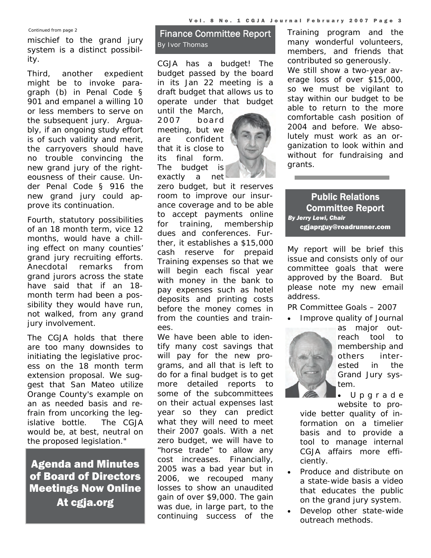*Continued from page 2* 

mischief to the grand jury system is a distinct possibility.

Third, another expedient might be to invoke paragraph (b) in Penal Code § 901 and empanel a willing 10 or less members to serve on the subsequent jury. Arguably, if an ongoing study effort is of such validity and merit, the carryovers should have no trouble convincing the new grand jury of the righteousness of their cause. Under Penal Code § 916 the new grand jury could approve its continuation.

Fourth, statutory possibilities of an 18 month term, vice 12 months, would have a chilling effect on many counties' grand jury recruiting efforts. Anecdotal remarks from grand jurors across the state have said that if an 18 month term had been a possibility they would have run, not walked, from any grand jury involvement.

The CGJA holds that there are too many downsides to initiating the legislative process on the 18 month term extension proposal. We suggest that San Mateo utilize Orange County's example on an as needed basis and refrain from uncorking the legislative bottle. The CGJA would be, at best, neutral on the proposed legislation."

Agenda and Minutes of Board of Directors Meetings Now Online At cgja.org

# Finance Committee Report *By Ivor Thomas*

CGJA has a budget! The budget passed by the board in its Jan 22 meeting is a draft budget that allows us to operate under that budget

until the March, 2007 board meeting, but we are confident that it is close to its final form. The budget is exactly a net



zero budget, but it reserves room to improve our insurance coverage and to be able to accept payments online for training, membership dues and conferences. Further, it establishes a \$15,000 cash reserve for prepaid Training expenses so that we will begin each fiscal year with money in the bank to pay expenses such as hotel deposits and printing costs before the money comes in from the counties and trainees.

We have been able to identify many cost savings that will pay for the new programs, and all that is left to do for a final budget is to get more detailed reports to some of the subcommittees on their actual expenses last year so they can predict what they will need to meet their 2007 goals. With a net zero budget, we will have to "horse trade" to allow any cost increases. Financially, 2005 was a bad year but in 2006, we recouped many losses to show an unaudited gain of over \$9,000. The gain was due, in large part, to the continuing success of the Training program and the many wonderful volunteers, members, and friends that contributed so generously. We still show a two-year average loss of over \$15,000, so we must be vigilant to stay within our budget to be able to return to the more comfortable cash position of 2004 and before. We absolutely must work as an organization to look within and without for fundraising and grants.

Public Relations Committee Report *By Jerry Lewi, Chair*  cgjaprguy@roadrunner.com

My report will be brief this issue and consists only of our committee goals that were approved by the Board. But please note my new email address.

PR Committee Goals – 2007

• Improve quality of Journal



as major outreach tool to membership and others interested in the Grand Jury system.

• U p g r a d e website to pro-

vide better quality of information on a timelier basis and to provide a tool to manage internal CGJA affairs more efficiently.

- Produce and distribute on a state-wide basis a video that educates the public on the grand jury system.
- Develop other state-wide outreach methods.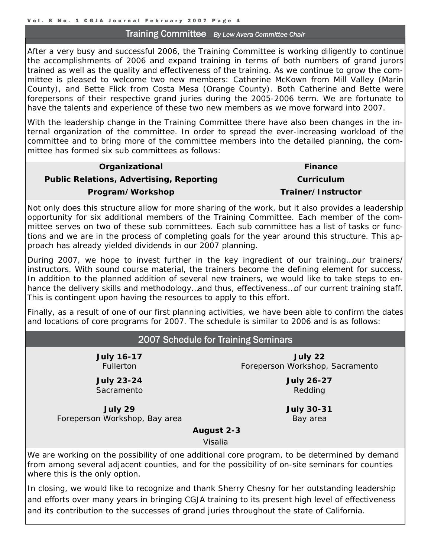#### Training Committee *By Lew Avera Committee Chair*

<span id="page-3-0"></span>After a very busy and successful 2006, the Training Committee is working diligently to continue the accomplishments of 2006 and expand training in terms of both numbers of grand jurors trained as well as the quality and effectiveness of the training. As we continue to grow the committee is pleased to welcome two new members: Catherine McKown from Mill Valley (Marin County), and Bette Flick from Costa Mesa (Orange County). Both Catherine and Bette were forepersons of their respective grand juries during the 2005-2006 term. We are fortunate to have the talents and experience of these two new members as we move forward into 2007.

With the leadership change in the Training Committee there have also been changes in the internal organization of the committee. In order to spread the ever-increasing workload of the committee and to bring more of the committee members into the detailed planning, the committee has formed six sub committees as follows:

| Organizational                                  | <b>Finance</b>     |
|-------------------------------------------------|--------------------|
| <b>Public Relations, Advertising, Reporting</b> | Curriculum         |
| Program/Workshop                                | Trainer/Instructor |
|                                                 |                    |

Not only does this structure allow for more sharing of the work, but it also provides a leadership opportunity for six additional members of the Training Committee. Each member of the committee serves on two of these sub committees. Each sub committee has a list of tasks or functions and we are in the process of completing goals for the year around this structure. This approach has already yielded dividends in our 2007 planning.

During 2007, we hope to invest further in the key ingredient of our training…our trainers/ instructors. With sound course material, the trainers become the defining element for success. In addition to the planned addition of several new trainers, we would like to take steps to enhance the delivery skills and methodology…and thus, effectiveness…of our current training staff. This is contingent upon having the resources to apply to this effort.

Finally, as a result of one of our first planning activities, we have been able to confirm the dates and locations of core programs for 2007. The schedule is similar to 2006 and is as follows:

# 2007 Schedule for Training Seminars

**July 16-17 Fullerton** 

**July 23-24** Sacramento

**July 29** Foreperson Workshop, Bay area

**July 22** Foreperson Workshop, Sacramento

> **July 26-27** Redding

**July 30-31** Bay area

 **August 2-3**

Visalia

We are working on the possibility of one additional core program, to be determined by demand from among several adjacent counties, and for the possibility of on-site seminars for counties where this is the only option.

In closing, we would like to recognize and thank Sherry Chesny for her outstanding leadership and efforts over many years in bringing CGJA training to its present high level of effectiveness and its contribution to the successes of grand juries throughout the state of California.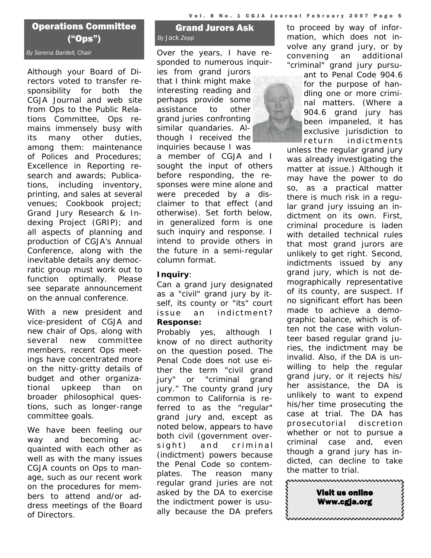# <span id="page-4-0"></span>Operations Committee ("Ops")

Although your Board of Directors voted to transfer responsibility for both the CGJA Journal and web site from Ops to the Public Relations Committee, Ops remains immensely busy with its many other duties, among them: maintenance of Polices and Procedures; Excellence in Reporting research and awards; Publications, including inventory, printing, and sales at several venues; Cookbook project; Grand Jury Research & Indexing Project (GRIP); and all aspects of planning and production of CGJA's Annual Conference, along with the inevitable details any democratic group must work out to function optimally. Please see separate announcement on the annual conference.

With a new president and vice-president of CGJA and new chair of Ops, along with several new committee members, recent Ops meetings have concentrated more on the nitty-gritty details of budget and other organizational upkeep than on broader philosophical questions, such as longer-range committee goals.

We have been feeling our way and becoming acquainted with each other as well as with the many issues CGJA counts on Ops to manage, such as our recent work on the procedures for members to attend and/or address meetings of the Board of Directors.

# Grand Jurors Ask *By Jack Zepp*

*By Serena Bardell, Chair Over the years, I have responded to numerous inquiries from grand jurors that I think might make interesting reading and perhaps provide some assistance to other grand juries confronting similar quandaries. Although I received the inquiries because I was* 

> *a member of CGJA and I sought the input of others before responding, the responses were mine alone and were preceded by a disclaimer to that effect (and otherwise). Set forth below, in generalized form is one such inquiry and response. I intend to provide others in the future in a semi-regular column format.*

# **Inquiry**:

Can a grand jury designated as a "civil" grand jury by itself, its county or "its" court issue an indictment? **Response:** 

Probably yes, although I know of no direct authority on the question posed. The Penal Code does not use either the term "civil grand jury" or "criminal grand jury." The county grand jury common to California is referred to as the "regular" grand jury and, except as noted below, appears to have both civil (government oversight) and criminal (indictment) powers because the Penal Code so contemplates. The reason many regular grand juries are not asked by the DA to exercise the indictment power is usually because the DA prefers

to proceed by way of information, which does not involve any grand jury, or by convening an additional "criminal" grand jury pursu-

> ant to Penal Code 904.6 for the purpose of handling one or more criminal matters. (Where a 904.6 grand jury has been impaneled, it has exclusive jurisdiction to  $\blacksquare$ return indictments

unless the regular grand jury was already investigating the matter at issue.) Although it may have the power to do so, as a practical matter there is much risk in a regular grand jury issuing an indictment on its own. First, criminal procedure is laden with detailed technical rules that most grand jurors are unlikely to get right. Second, indictments issued by any grand jury, which is not demographically representative of its county, are suspect. If no significant effort has been made to achieve a demographic balance, which is often not the case with volunteer based regular grand juries, the indictment may be invalid. Also, if the DA is unwilling to help the regular grand jury, or it rejects his/ her assistance, the DA is unlikely to want to expend his/her time prosecuting the case at trial. The DA has prosecutorial discretion whether or not to pursue a criminal case and, even though a grand jury has indicted, can decline to take the matter to trial.

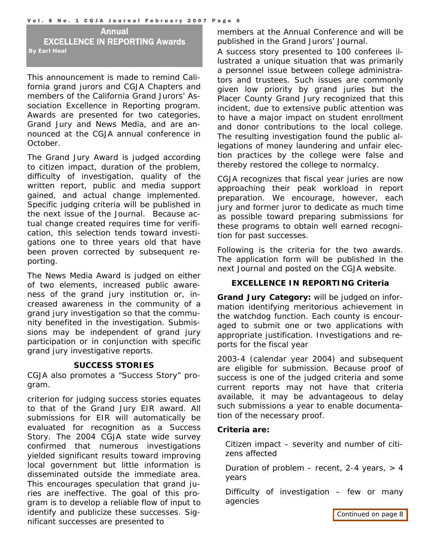<span id="page-5-0"></span>Annual EXCELLENCE IN REPORTING Awards *By Earl Heal* 

This announcement is made to remind California grand jurors and CGJA Chapters and members of the California Grand Jurors' Association *Excellence in Reporting* program. Awards are presented for two categories, Grand Jury and News Media, and are announced at the CGJA annual conference in October.

The Grand Jury Award is judged according to citizen impact, duration of the problem, difficulty of investigation, quality of the written report, public and media support gained, and actual change implemented. Specific judging criteria will be published in the next issue of the *Journal.* Because actual change created requires time for verification, this selection tends toward investigations one to three years old that have been proven corrected by subsequent reporting.

The News Media Award is judged on either of two elements, increased public awareness of the grand jury institution or, increased awareness in the community of a grand jury investigation so that the community benefited in the investigation. Submissions may be independent of grand jury participation or in conjunction with specific grand jury investigative reports.

#### **SUCCESS STORIES**

CGJA also promotes a "Success Story" program.

criterion for judging success stories equates to that of the Grand Jury EIR award. All submissions for EIR will automatically be evaluated for recognition as a Success Story. The 2004 CGJA state wide survey confirmed that numerous investigations yielded significant results toward improving local government but little information is disseminated outside the immediate area. This encourages speculation that grand juries are ineffective. The goal of this program is to develop a reliable flow of input to identify and publicize these successes. Significant successes are presented to

members at the Annual Conference and will be published in the *Grand Jurors' Journal*.

A success story presented to 100 conferees illustrated a unique situation that was primarily a personnel issue between college administrators and trustees. Such issues are commonly given low priority by grand juries but the Placer County Grand Jury recognized that this incident, due to extensive public attention was to have a major impact on student enrollment and donor contributions to the local college. The resulting investigation found the public allegations of money laundering and unfair election practices by the college were false and thereby restored the college to normalcy.

CGJA recognizes that fiscal year juries are now approaching their peak workload in report preparation. We encourage, however, each jury and former juror to dedicate as much time as possible toward preparing submissions for these programs to obtain well earned recognition for past successes.

Following is the criteria for the two awards. The application form will be published in the next *Journal* and posted on the CGJA website.

#### **EXCELLENCE IN REPORTING Criteria**

**Grand Jury Category:** will be judged on information identifying meritorious achievement in the watchdog function. Each county is encouraged to submit one or two applications with appropriate justification. Investigations and reports for the fiscal year

2003-4 (calendar year 2004) and subsequent are eligible for submission. Because proof of success is one of the judged criteria and some current reports may not have that criteria available, it may be advantageous to delay such submissions a year to enable documentation of the necessary proof.

#### **Criteria are:**

Citizen impact – severity and number of citizens affected

Duration of problem – recent, 2-4 years,  $> 4$ years

Difficulty of investigation – few or many agencies

*[Continued on page 8](#page-7-0)*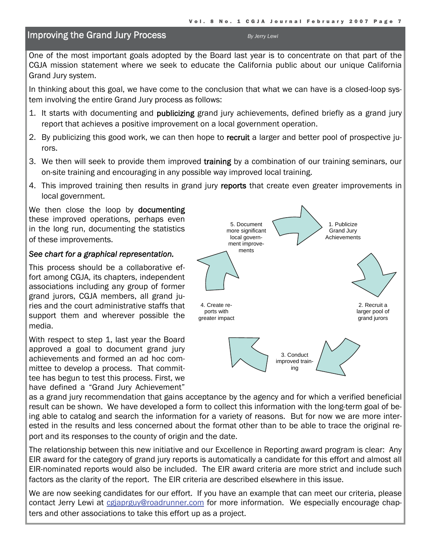# <span id="page-6-0"></span>**Improving the Grand Jury Process By Jerry Lewi By Jerry Lewi**

One of the most important goals adopted by the Board last year is to concentrate on that part of the CGJA mission statement where we seek to educate the California public about our unique California Grand Jury system.

In thinking about this goal, we have come to the conclusion that what we can have is a closed-loop system involving the entire Grand Jury process as follows:

- 1. It starts with documenting and **publicizing** grand jury achievements, defined briefly as a grand jury report that achieves a positive improvement on a local government operation.
- 2. By publicizing this good work, we can then hope to recruit a larger and better pool of prospective jurors.
- 3. We then will seek to provide them improved training by a combination of our training seminars, our on-site training and encouraging in any possible way improved local training.
- 4. This improved training then results in grand jury reports that create even greater improvements in local government.

We then close the loop by **documenting** these improved operations, perhaps even in the long run, documenting the statistics of these improvements.

## *See chart for a graphical representation.*

This process should be a collaborative effort among CGJA, its chapters, independent associations including any group of former grand jurors, CGJA members, all grand juries and the court administrative staffs that support them and wherever possible the media.

With respect to step 1, last year the Board approved a goal to document grand jury achievements and formed an ad hoc committee to develop a process. That committee has begun to test this process. First, we have defined a "Grand Jury Achievement"



as a grand jury recommendation that gains acceptance by the agency and for which a verified beneficial result can be shown. We have developed a form to collect this information with the long-term goal of being able to catalog and search the information for a variety of reasons. But for now we are more interested in the results and less concerned about the format other than to be able to trace the original report and its responses to the county of origin and the date.

The relationship between this new initiative and our Excellence in Reporting award program is clear: Any EIR award for the category of grand jury reports is automatically a candidate for this effort and almost all EIR-nominated reports would also be included. The EIR award criteria are more strict and include such factors as the clarity of the report. The EIR criteria are described elsewhere in this issue.

We are now seeking candidates for our effort. If you have an example that can meet our criteria, please contact Jerry Lewi at colaprguy@roadrunner.com for more information. We especially encourage chapters and other associations to take this effort up as a project.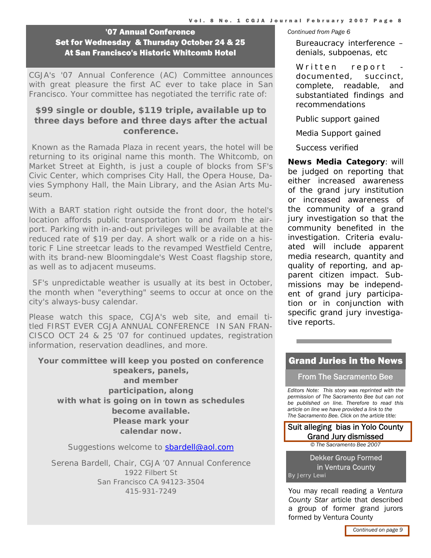<span id="page-7-0"></span>**<sup>1</sup>07 Annual Conference Continued from Page 6** Set for Wednesday & Thursday October 24 & 25 At San Francisco's Historic Whitcomb Hotel

CGJA's '07 Annual Conference (AC) Committee announces with great pleasure the first AC ever to take place in San Francisco. Your committee has negotiated the terrific rate of:

# **\$99 single or double, \$119 triple, available up to three days before and three days after the actual conference.**

 Known as the Ramada Plaza in recent years, the hotel will be returning to its original name this month. The Whitcomb, on Market Street at Eighth, is just a couple of blocks from SF's Civic Center, which comprises City Hall, the Opera House, Davies Symphony Hall, the Main Library, and the Asian Arts Museum.

With a BART station right outside the front door, the hotel's location affords public transportation to and from the airport. Parking with in-and-out privileges will be available at the reduced rate of \$19 per day. A short walk or a ride on a historic F Line streetcar leads to the revamped Westfield Centre, with its brand-new Bloomingdale's West Coast flagship store, as well as to adjacent museums.

 SF's unpredictable weather is usually at its best in October, the month when "everything" seems to occur at once on the city's always-busy calendar.

Please watch this space, CGJA's web site, and email titled FIRST EVER CGJA ANNUAL CONFERENCE IN SAN FRAN-CISCO OCT 24 & 25 '07 for continued updates, registration information, reservation deadlines, and more.

**Your committee will keep you posted on conference speakers, panels, and member participation, along with what is going on in town as schedules become available. Please mark your calendar now.**

Suggestions welcome to sbardell@aol.com

Serena Bardell, Chair, CGJA '07 Annual Conference 1922 Filbert St San Francisco CA 94123-3504 415-931-7249 You may recall reading a *Ventura* 

Bureaucracy interference – denials, subpoenas, etc

Written report documented, succinct, complete, readable, and substantiated findings and recommendations

Public support gained

Media Support gained

Success verified

**News Media Category**: will be judged on reporting that either increased awareness of the grand jury institution or increased awareness of the community of a grand jury investigation so that the community benefited in the investigation. Criteria evaluated will include apparent media research, quantity and quality of reporting, and apparent citizen impact. Submissions may be independent of grand jury participation or in conjunction with specific grand jury investigative reports.

# Grand Juries in the News

From The Sacramento Bee

*Editors Note: This story was reprinted with the permission of The Sacramento Bee but can not be published on line. Therefore to read this article on line we have provided a link to the The Sacramento Bee. Click on the article title:* 

#### [Suit alleging bias in Yolo County](http://www.sacbee.com/291/story/106104.html)  Grand Jury dismissed

*© The Sacramento Bee 2007* 

Dekker Group Formed in Ventura County *By Jerry Lewi* 

*County Star* article that described a group of former grand jurors formed by Ventura County